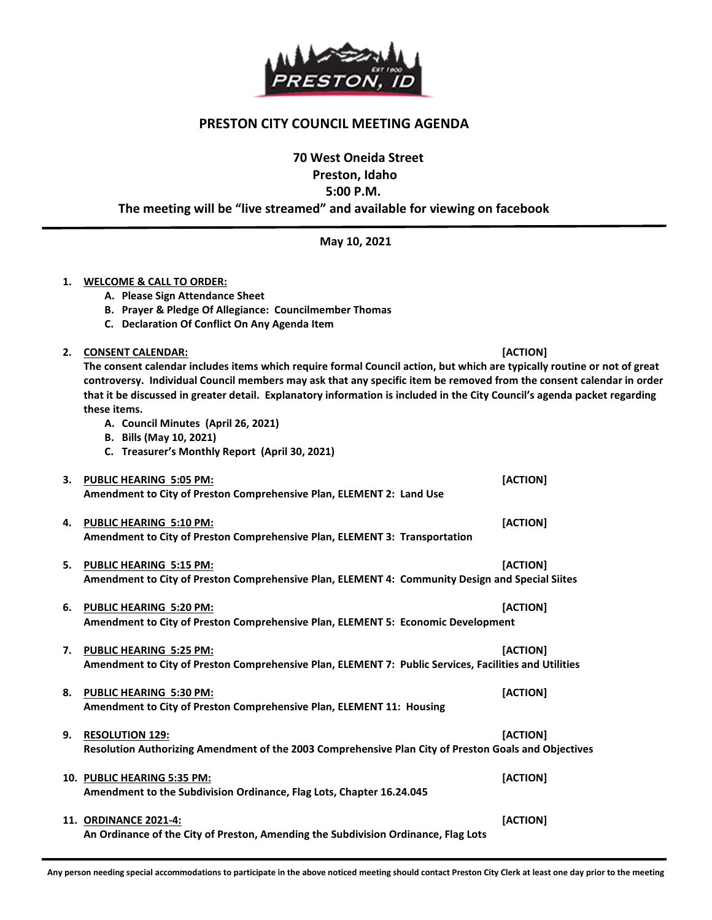

## PRESTON CITY COUNCIL MEETING AGENDA

70 West Oneida Street

Preston, Idaho

5:00 P.M.

The meeting will be "live streamed" and available for viewing on facebook

May 10, 2021

## 1. WELCOME & CALL TO ORDER:

- A. Please Sign Attendance Sheet
- B. Prayer & Pledge Of Allegiance: Councilmember Thomas
- C. Declaration Of Conflict On Any Agenda Item
- 2. CONSENT CALENDAR: [ACTION]

The consent calendar includes items which require formal Council action, but which are typically routine or not of great controversy. Individual Council members may ask that any specific item be removed from the consent calendar in order that it be discussed in greater detail. Explanatory information is included in the City Council's agenda packet regarding these items.

- A. Council Minutes (April 26, 2021)
- B. Bills (May 10, 2021)
- C. Treasurer's Monthly Report (April 30, 2021)

|    | 3. PUBLIC HEARING 5:05 PM:<br>Amendment to City of Preston Comprehensive Plan, ELEMENT 2: Land Use                                      | [ACTION] |
|----|-----------------------------------------------------------------------------------------------------------------------------------------|----------|
| 4. | PUBLIC HEARING 5:10 PM:<br>Amendment to City of Preston Comprehensive Plan, ELEMENT 3: Transportation                                   | [ACTION] |
|    | 5. PUBLIC HEARING 5:15 PM:<br>Amendment to City of Preston Comprehensive Plan, ELEMENT 4: Community Design and Special Siites           | [ACTION] |
| 6. | <b>PUBLIC HEARING 5:20 PM:</b><br>Amendment to City of Preston Comprehensive Plan, ELEMENT 5: Economic Development                      | [ACTION] |
| 7. | <b>PUBLIC HEARING 5:25 PM:</b><br>Amendment to City of Preston Comprehensive Plan, ELEMENT 7: Public Services, Facilities and Utilities | [ACTION] |
| 8. | <b>PUBLIC HEARING 5:30 PM:</b><br>Amendment to City of Preston Comprehensive Plan, ELEMENT 11: Housing                                  | [ACTION] |
| 9. | <b>RESOLUTION 129:</b><br>Resolution Authorizing Amendment of the 2003 Comprehensive Plan City of Preston Goals and Objectives          | [ACTION] |
|    | 10. PUBLIC HEARING 5:35 PM:<br>Amendment to the Subdivision Ordinance, Flag Lots, Chapter 16.24.045                                     | [ACTION] |
|    | <b>11. ORDINANCE 2021-4:</b><br>An Ordinance of the City of Preston, Amending the Subdivision Ordinance, Flag Lots                      | [ACTION] |

1 Any person needing special accommodations to participate in the above noticed meeting should contact Preston City Clerk at least one day prior to the meeting